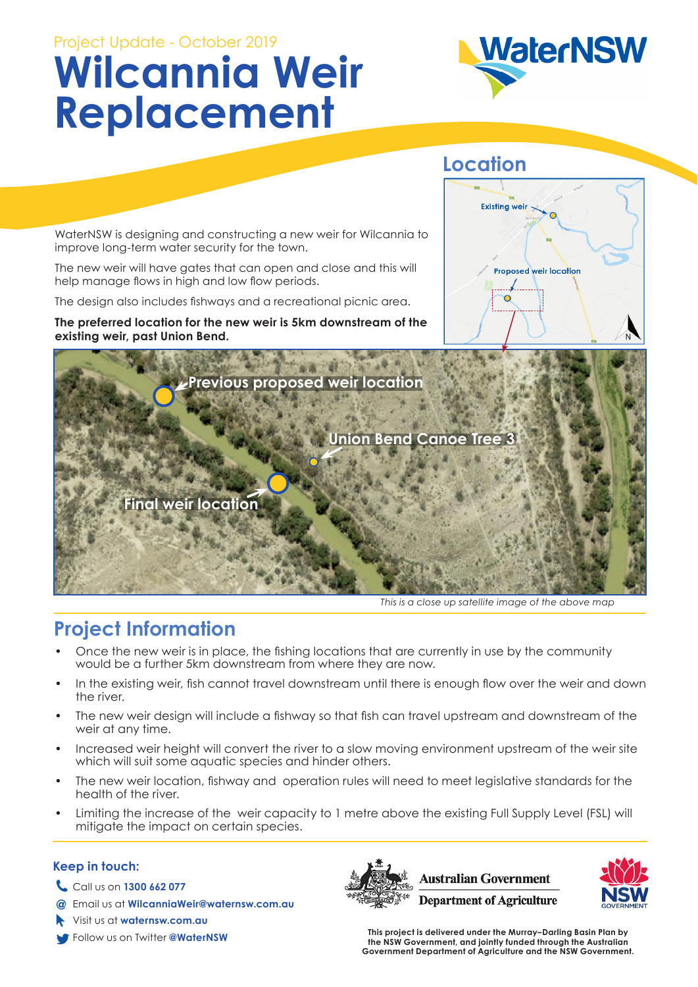# Project Update - October 2019 **Wilcannia Weir Replacement**



### **Location**

**Existing weir** 

 $\circ$ 

**Proposed weir location** 

WaterNSW is designing and constructing a new weir for Wilcannia to improve long-term water security for the town.

The new weir will have gates that can open and close and this will help manage flows in high and low flow periods.

The design also includes fishways and a recreational picnic area.

**The preferred location for the new weir is 5km downstream of the existing weir, past Union Bend.** 



*This is a close up satellite image of the above map*

### **Project Information**

- Once the new weir is in place, the fishing locations that are currently in use by the community would be a further 5km downstream from where they are now.
- In the existing weir, fish cannot travel downstream until there is enough flow over the weir and down the river.
- The new weir design will include a fishway so that fish can travel upstream and downstream of the weir at any time.
- Increased weir height will convert the river to a slow moving environment upstream of the weir site which will suit some aquatic species and hinder others.
- The new weir location, fishway and operation rules will need to meet legislative standards for the health of the river.
- Limiting the increase of the weir capacity to 1 metre above the existing Full Supply Level (FSL) will mitigate the impact on certain species.

#### **Keep in touch:**

- Call us on **1300 662 077**
- Email us at **WilcanniaWeir@waternsw.com.au**
- Visit us at **waternsw.com.au**
- 





Follow us on Twitter **@WaterNSW This project is delivered under the Murray–Darling Basin Plan by the NSW Government, and jointly funded through the Australian Government Department of Agriculture and the NSW Government.**